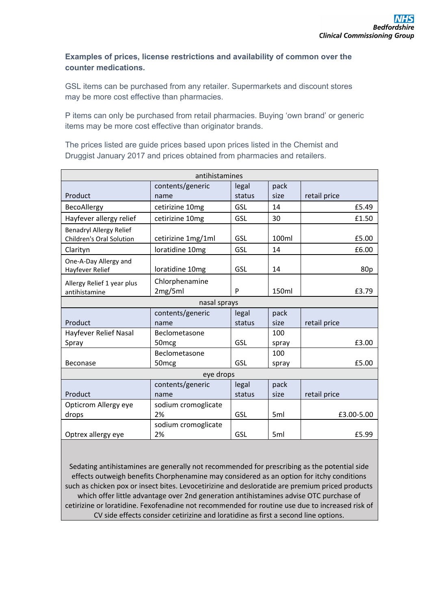## **Examples of prices, license restrictions and availability of common over the counter medications.**

GSL items can be purchased from any retailer. Supermarkets and discount stores may be more cost effective than pharmacies.

P items can only be purchased from retail pharmacies. Buying 'own brand' or generic items may be more cost effective than originator brands.

The prices listed are guide prices based upon prices listed in the Chemist and Druggist January 2017 and prices obtained from pharmacies and retailers.

| antihistamines                                             |                           |        |       |              |
|------------------------------------------------------------|---------------------------|--------|-------|--------------|
|                                                            | contents/generic          | legal  | pack  |              |
| Product                                                    | name                      | status | size  | retail price |
| BecoAllergy                                                | cetirizine 10mg           | GSL    | 14    | £5.49        |
| Hayfever allergy relief                                    | cetirizine 10mg           | GSL    | 30    | £1.50        |
| <b>Benadryl Allergy Relief</b><br>Children's Oral Solution | cetirizine 1mg/1ml        | GSL    | 100ml | £5.00        |
| Clarityn                                                   | loratidine 10mg           | GSL    | 14    | £6.00        |
| One-A-Day Allergy and<br>Hayfever Relief                   | loratidine 10mg           | GSL    | 14    | 80p          |
| Allergy Relief 1 year plus<br>antihistamine                | Chlorphenamine<br>2mg/5ml | P      | 150ml | £3.79        |
|                                                            | nasal sprays              |        |       |              |
|                                                            | contents/generic          | legal  | pack  |              |
| Product                                                    | name                      | status | size  | retail price |
| Hayfever Relief Nasal                                      | Beclometasone             |        | 100   |              |
| Spray                                                      | 50 <sub>mcg</sub>         | GSL    | spray | £3.00        |
|                                                            | Beclometasone             |        | 100   |              |
| <b>Beconase</b>                                            | 50 <sub>mcg</sub>         | GSL    | spray | £5.00        |
|                                                            | eye drops                 |        |       |              |
|                                                            | contents/generic          | legal  | pack  |              |
| Product                                                    | name                      | status | size  | retail price |
| Opticrom Allergy eye                                       | sodium cromoglicate       |        |       |              |
| drops                                                      | 2%                        | GSL    | 5ml   | £3.00-5.00   |
| Optrex allergy eye                                         | sodium cromoglicate<br>2% | GSL    | 5ml   | £5.99        |

Sedating antihistamines are generally not recommended for prescribing as the potential side effects outweigh benefits Chorphenamine may considered as an option for itchy conditions such as chicken pox or insect bites. Levocetirizine and desloratide are premium priced products which offer little advantage over 2nd generation antihistamines advise OTC purchase of cetirizine or loratidine. Fexofenadine not recommended for routine use due to increased risk of CV side effects consider cetirizine and loratidine as first a second line options.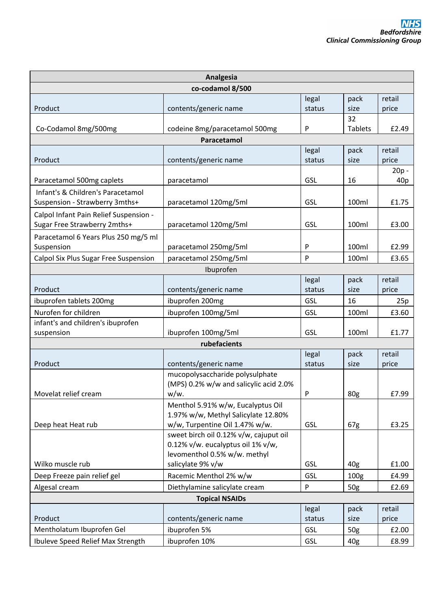| Analgesia                                          |                                                                          |            |                  |                |
|----------------------------------------------------|--------------------------------------------------------------------------|------------|------------------|----------------|
| co-codamol 8/500                                   |                                                                          |            |                  |                |
|                                                    |                                                                          | legal      | pack             | retail         |
| Product                                            | contents/generic name                                                    | status     | size             | price          |
|                                                    |                                                                          |            | 32               |                |
| Co-Codamol 8mg/500mg                               | codeine 8mg/paracetamol 500mg                                            | P          | <b>Tablets</b>   | £2.49          |
|                                                    | Paracetamol                                                              |            |                  |                |
|                                                    |                                                                          | legal      | pack             | retail         |
| Product                                            | contents/generic name                                                    | status     | size             | price          |
| Paracetamol 500mg caplets                          | paracetamol                                                              | GSL        | 16               | $20p -$<br>40p |
| Infant's & Children's Paracetamol                  |                                                                          |            |                  |                |
| Suspension - Strawberry 3mths+                     | paracetamol 120mg/5ml                                                    | GSL        | 100ml            | £1.75          |
| Calpol Infant Pain Relief Suspension -             |                                                                          |            |                  |                |
| Sugar Free Strawberry 2mths+                       | paracetamol 120mg/5ml                                                    | GSL        | 100ml            | £3.00          |
|                                                    |                                                                          |            |                  |                |
| Paracetamol 6 Years Plus 250 mg/5 ml<br>Suspension | paracetamol 250mg/5ml                                                    | P          | 100ml            | £2.99          |
| Calpol Six Plus Sugar Free Suspension              | paracetamol 250mg/5ml                                                    | P          | 100ml            | £3.65          |
|                                                    | Ibuprofen                                                                |            |                  |                |
|                                                    |                                                                          | legal      | pack             | retail         |
| Product                                            | contents/generic name                                                    | status     | size             | price          |
| ibuprofen tablets 200mg                            | ibuprofen 200mg                                                          | GSL        | 16               | 25p            |
| Nurofen for children                               | ibuprofen 100mg/5ml                                                      | GSL        | 100ml            | £3.60          |
| infant's and children's ibuprofen                  |                                                                          |            |                  |                |
| suspension                                         | ibuprofen 100mg/5ml                                                      | GSL        | 100ml            | £1.77          |
|                                                    | rubefacients                                                             |            |                  |                |
|                                                    |                                                                          | legal      | pack             | retail         |
| Product                                            | contents/generic name                                                    | status     | size             | price          |
|                                                    | mucopolysaccharide polysulphate                                          |            |                  |                |
|                                                    | (MPS) 0.2% w/w and salicylic acid 2.0%                                   |            |                  |                |
| Movelat relief cream                               | w/w.                                                                     | P          | 80g              | £7.99          |
|                                                    | Menthol 5.91% w/w, Eucalyptus Oil                                        |            |                  |                |
|                                                    | 1.97% w/w, Methyl Salicylate 12.80%                                      |            |                  |                |
| Deep heat Heat rub                                 | w/w, Turpentine Oil 1.47% w/w.<br>sweet birch oil 0.12% v/w, cajuput oil | GSL        | 67g              | £3.25          |
|                                                    | 0.12% v/w. eucalyptus oil 1% v/w,                                        |            |                  |                |
|                                                    | levomenthol 0.5% w/w. methyl                                             |            |                  |                |
| Wilko muscle rub                                   | salicylate 9% v/w                                                        | GSL        | 40 <sub>g</sub>  | £1.00          |
| Deep Freeze pain relief gel                        | Racemic Menthol 2% w/w                                                   | GSL        | 100 <sub>g</sub> | £4.99          |
| Algesal cream                                      | Diethylamine salicylate cream                                            | P          | 50 <sub>g</sub>  | £2.69          |
|                                                    | <b>Topical NSAIDs</b>                                                    |            |                  |                |
|                                                    |                                                                          | legal      | pack             | retail         |
| Product                                            | contents/generic name                                                    | status     | size             | price          |
| Mentholatum Ibuprofen Gel                          | ibuprofen 5%                                                             | GSL        | 50g              | £2.00          |
| Ibuleve Speed Relief Max Strength                  | ibuprofen 10%                                                            | <b>GSL</b> | 40 <sub>g</sub>  | £8.99          |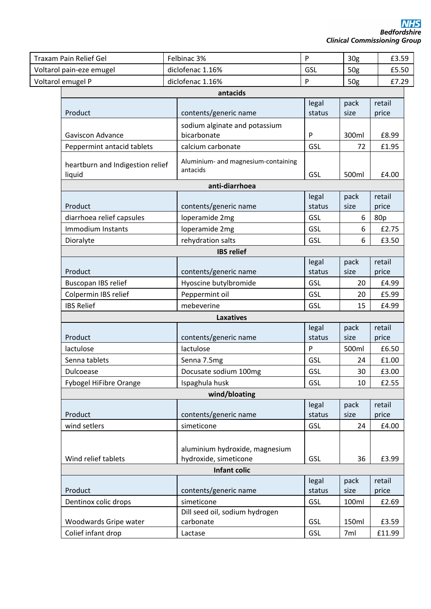| <b>Traxam Pain Relief Gel</b>              |  | Felbinac 3%                                             | $\mathsf{P}$    | 30 <sub>g</sub> | £3.59           |
|--------------------------------------------|--|---------------------------------------------------------|-----------------|-----------------|-----------------|
| Voltarol pain-eze emugel                   |  | diclofenac 1.16%                                        | GSL             | 50 <sub>g</sub> | £5.50           |
| Voltarol emugel P                          |  | diclofenac 1.16%                                        | P               | 50g             | £7.29           |
|                                            |  | antacids                                                |                 |                 |                 |
|                                            |  |                                                         | legal           | pack            | retail          |
| Product                                    |  | contents/generic name                                   | status          | size            | price           |
|                                            |  | sodium alginate and potassium                           |                 |                 |                 |
| <b>Gaviscon Advance</b>                    |  | bicarbonate                                             | P               | 300ml           | £8.99           |
| Peppermint antacid tablets                 |  | calcium carbonate                                       | GSL             | 72              | £1.95           |
| heartburn and Indigestion relief<br>liquid |  | Aluminium- and magnesium-containing<br>antacids         | GSL             | 500ml           | £4.00           |
|                                            |  | anti-diarrhoea                                          |                 |                 |                 |
|                                            |  |                                                         | legal           | pack            | retail          |
| Product                                    |  | contents/generic name                                   | status          | size            | price           |
| diarrhoea relief capsules                  |  | loperamide 2mg                                          | GSL             | 6               | 80p             |
| Immodium Instants                          |  | loperamide 2mg                                          | GSL             | 6               | £2.75           |
| Dioralyte                                  |  | rehydration salts                                       | GSL             | 6               | £3.50           |
|                                            |  | <b>IBS relief</b>                                       |                 |                 |                 |
| Product                                    |  | contents/generic name                                   | legal<br>status | pack<br>size    | retail<br>price |
| Buscopan IBS relief                        |  | Hyoscine butylbromide                                   | GSL             | 20              | £4.99           |
| Colpermin IBS relief                       |  | Peppermint oil                                          | GSL             | 20              | £5.99           |
| <b>IBS Relief</b>                          |  | mebeverine                                              | GSL             | 15              | £4.99           |
|                                            |  | <b>Laxatives</b>                                        |                 |                 |                 |
|                                            |  |                                                         | legal           | pack            | retail          |
| Product                                    |  | contents/generic name                                   | status          | size            | price           |
| lactulose                                  |  | lactulose                                               | ${\sf P}$       | 500ml           | £6.50           |
| Senna tablets                              |  | Senna 7.5mg                                             | GSL             | 24              | £1.00           |
| Dulcoease                                  |  | Docusate sodium 100mg                                   | GSL             | 30              | £3.00           |
| Fybogel HiFibre Orange                     |  | Ispaghula husk                                          | GSL             | 10              | £2.55           |
|                                            |  | wind/bloating                                           |                 |                 |                 |
| Product                                    |  | contents/generic name                                   | legal<br>status | pack<br>size    | retail<br>price |
| wind setlers                               |  | simeticone                                              | GSL             | 24              | £4.00           |
|                                            |  |                                                         |                 |                 |                 |
| Wind relief tablets                        |  | aluminium hydroxide, magnesium<br>hydroxide, simeticone | GSL             | 36              | £3.99           |
|                                            |  | Infant colic                                            |                 |                 |                 |
|                                            |  |                                                         | legal           | pack            | retail          |
| Product                                    |  | contents/generic name                                   | status          | size            | price           |
| Dentinox colic drops                       |  | simeticone                                              | GSL             | 100ml           | £2.69           |
|                                            |  | Dill seed oil, sodium hydrogen                          |                 |                 |                 |
| Woodwards Gripe water                      |  | carbonate                                               | GSL             | 150ml           | £3.59           |
| Colief infant drop                         |  | Lactase                                                 | GSL             | 7ml             | £11.99          |
|                                            |  |                                                         |                 |                 |                 |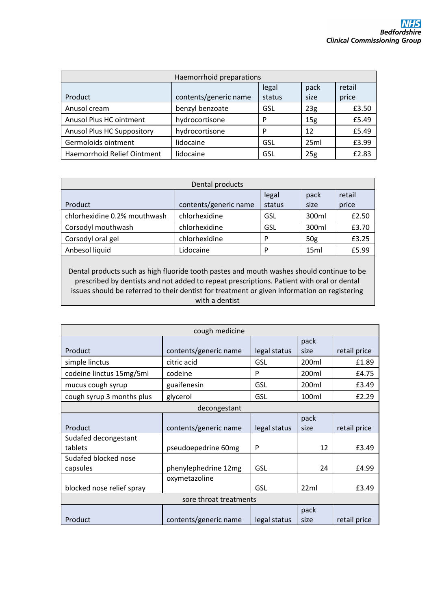| Haemorrhoid preparations           |                         |        |                 |       |  |
|------------------------------------|-------------------------|--------|-----------------|-------|--|
|                                    | retail<br>pack<br>legal |        |                 |       |  |
| Product                            | contents/generic name   | status | size            | price |  |
| Anusol cream                       | benzyl benzoate         | GSL    | 23 <sub>g</sub> | £3.50 |  |
| Anusol Plus HC ointment            | hydrocortisone          | P      | 15 <sub>g</sub> | £5.49 |  |
| <b>Anusol Plus HC Suppository</b>  | hydrocortisone          | P      | 12              | £5.49 |  |
| Germoloids ointment                | lidocaine               | GSL    | 25ml            | £3.99 |  |
| <b>Haemorrhoid Relief Ointment</b> | lidocaine               | GSL    | 25g             | £2.83 |  |

| Dental products              |                       |        |                 |        |  |
|------------------------------|-----------------------|--------|-----------------|--------|--|
|                              |                       | legal  | pack            | retail |  |
| Product                      | contents/generic name | status | size            | price  |  |
| chlorhexidine 0.2% mouthwash | chlorhexidine         | GSL    | 300ml           | £2.50  |  |
| Corsodyl mouthwash           | chlorhexidine         | GSL    | 300ml           | £3.70  |  |
| Corsodyl oral gel            | chlorhexidine         | P      | 50 <sub>g</sub> | £3.25  |  |
| Anbesol liquid               | Lidocaine             | P      | 15ml            | £5.99  |  |

Dental products such as high fluoride tooth pastes and mouth washes should continue to be prescribed by dentists and not added to repeat prescriptions. Patient with oral or dental issues should be referred to their dentist for treatment or given information on registering with a dentist

| cough medicine            |                       |              |       |              |  |
|---------------------------|-----------------------|--------------|-------|--------------|--|
|                           |                       |              | pack  |              |  |
| Product                   | contents/generic name | legal status | size  | retail price |  |
| simple linctus            | citric acid           | <b>GSL</b>   | 200ml | £1.89        |  |
| codeine linctus 15mg/5ml  | codeine               | P            | 200ml | £4.75        |  |
| mucus cough syrup         | guaifenesin           | GSL          | 200ml | £3.49        |  |
| cough syrup 3 months plus | glycerol              | GSL          | 100ml | £2.29        |  |
|                           | decongestant          |              |       |              |  |
|                           |                       |              | pack  |              |  |
| Product                   | contents/generic name | legal status | size  | retail price |  |
| Sudafed decongestant      |                       |              |       |              |  |
| tablets                   | pseudoepedrine 60mg   | P            | 12    | £3.49        |  |
| Sudafed blocked nose      |                       |              |       |              |  |
| capsules                  | phenylephedrine 12mg  | GSL          | 24    | £4.99        |  |
|                           | oxymetazoline         |              |       |              |  |
| blocked nose relief spray |                       | GSL          | 22ml  | £3.49        |  |
| sore throat treatments    |                       |              |       |              |  |
|                           |                       |              | pack  |              |  |
| Product                   | contents/generic name | legal status | size  | retail price |  |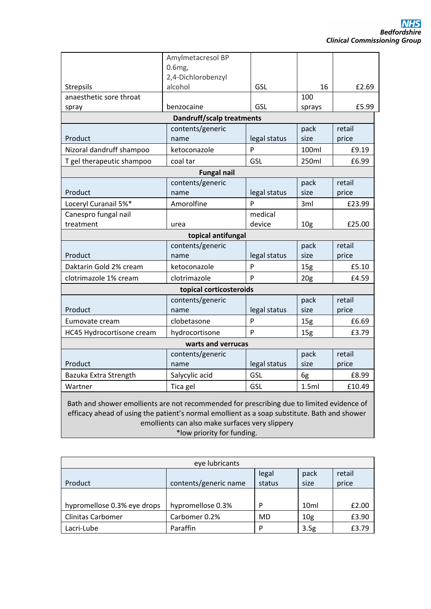|                                                                                                                                                                                                                                              | Amylmetacresol BP<br>0.6mg       |              |                 |                 |
|----------------------------------------------------------------------------------------------------------------------------------------------------------------------------------------------------------------------------------------------|----------------------------------|--------------|-----------------|-----------------|
|                                                                                                                                                                                                                                              | 2,4-Dichlorobenzyl               |              |                 |                 |
| <b>Strepsils</b>                                                                                                                                                                                                                             | alcohol                          | <b>GSL</b>   | 16              | £2.69           |
| anaesthetic sore throat                                                                                                                                                                                                                      |                                  |              | 100             |                 |
| spray                                                                                                                                                                                                                                        | benzocaine                       | <b>GSL</b>   | sprays          | £5.99           |
|                                                                                                                                                                                                                                              | <b>Dandruff/scalp treatments</b> |              |                 | retail          |
| Product                                                                                                                                                                                                                                      | contents/generic<br>name         | legal status | pack<br>size    | price           |
| Nizoral dandruff shampoo                                                                                                                                                                                                                     | ketoconazole                     | P            | 100ml           | £9.19           |
| T gel therapeutic shampoo                                                                                                                                                                                                                    | coal tar                         | GSL          | 250ml           | £6.99           |
|                                                                                                                                                                                                                                              | <b>Fungal nail</b>               |              |                 |                 |
| Product                                                                                                                                                                                                                                      | contents/generic<br>name         | legal status | pack<br>size    | retail<br>price |
| Loceryl Curanail 5%*                                                                                                                                                                                                                         | Amorolfine                       | P            | 3ml             | £23.99          |
| Canespro fungal nail                                                                                                                                                                                                                         |                                  | medical      |                 |                 |
| treatment                                                                                                                                                                                                                                    | urea                             | device       | 10 <sub>g</sub> | £25.00          |
|                                                                                                                                                                                                                                              | topical antifungal               |              |                 |                 |
|                                                                                                                                                                                                                                              | contents/generic                 |              | pack            | retail          |
| Product                                                                                                                                                                                                                                      | name                             | legal status | size            | price           |
| Daktarin Gold 2% cream                                                                                                                                                                                                                       | ketoconazole                     | P            | 15 <sub>g</sub> | £5.10           |
| clotrimazole 1% cream                                                                                                                                                                                                                        | clotrimazole                     | P            | 20 <sub>g</sub> | £4.59           |
|                                                                                                                                                                                                                                              | topical corticosteroids          |              |                 |                 |
|                                                                                                                                                                                                                                              | contents/generic                 |              | pack            | retail          |
| Product                                                                                                                                                                                                                                      | name                             | legal status | size            | price           |
| Eumovate cream                                                                                                                                                                                                                               | clobetasone                      | P            | 15 <sub>g</sub> | £6.69           |
| HC45 Hydrocortisone cream                                                                                                                                                                                                                    | hydrocortisone                   | P            | 15 <sub>g</sub> | £3.79           |
|                                                                                                                                                                                                                                              | warts and verrucas               |              |                 |                 |
|                                                                                                                                                                                                                                              | contents/generic                 |              | pack            | retail          |
| Product                                                                                                                                                                                                                                      | name                             | legal status | size            | price           |
| Bazuka Extra Strength                                                                                                                                                                                                                        | Salycylic acid                   | GSL          | 6g              | £8.99           |
| Wartner                                                                                                                                                                                                                                      | Tica gel                         | GSL          | 1.5ml           | £10.49          |
| Bath and shower emollients are not recommended for prescribing due to limited evidence of<br>efficacy ahead of using the patient's normal emollient as a soap substitute. Bath and shower<br>emollients can also make surfaces very slippery |                                  |              |                 |                 |

\*low priority for funding.

| eye lubricants              |                       |        |                  |        |  |
|-----------------------------|-----------------------|--------|------------------|--------|--|
|                             |                       | legal  | pack             | retail |  |
| Product                     | contents/generic name | status | size             | price  |  |
|                             |                       |        |                  |        |  |
| hypromellose 0.3% eye drops | hypromellose 0.3%     | D      | 10 <sub>ml</sub> | £2.00  |  |
| <b>Clinitas Carbomer</b>    | Carbomer 0.2%         | MD     | 10 <sub>g</sub>  | £3.90  |  |
| Lacri-Lube                  | Paraffin              | D      | 3.5g             | £3.79  |  |